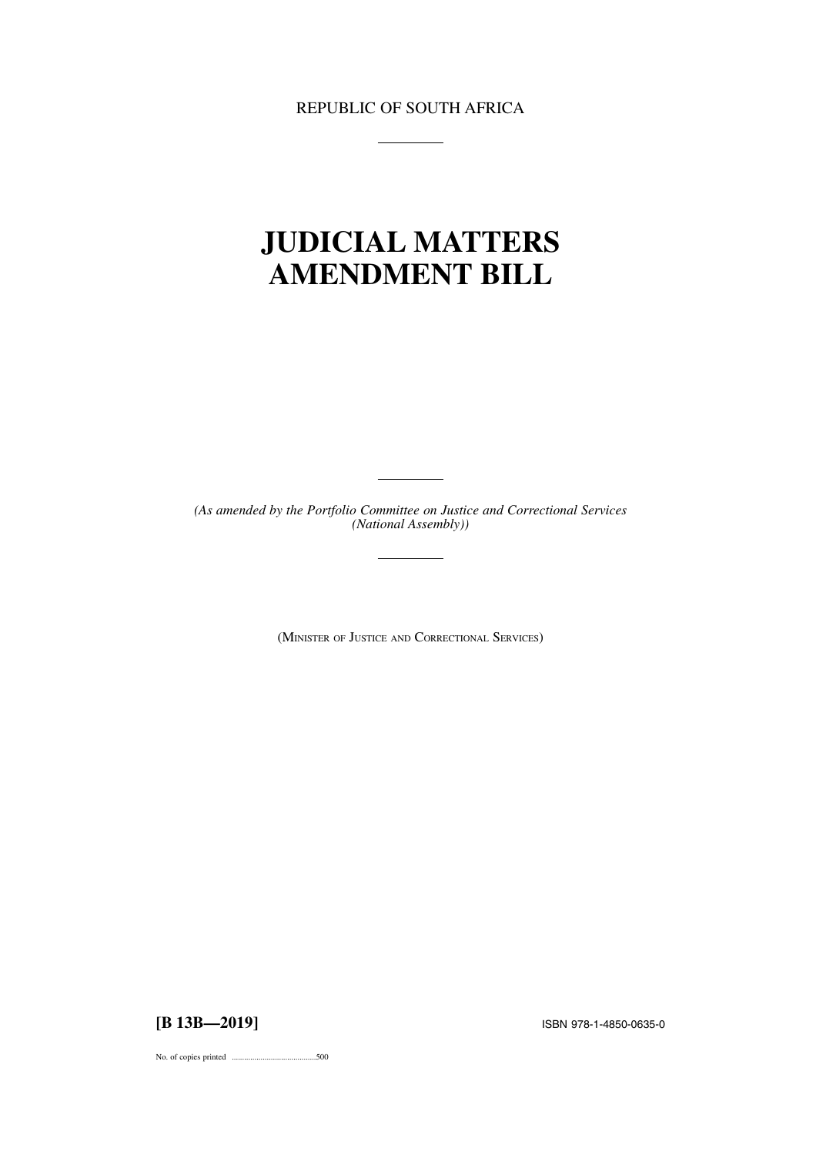REPUBLIC OF SOUTH AFRICA

# **JUDICIAL MATTERS AMENDMENT BILL**

*(As amended by the Portfolio Committee on Justice and Correctional Services (National Assembly))*

(MINISTER OF JUSTICE AND CORRECTIONAL SERVICES)

**[B 13B—2019]** ISBN 978-1-4850-0635-0

No. of copies printed .........................................500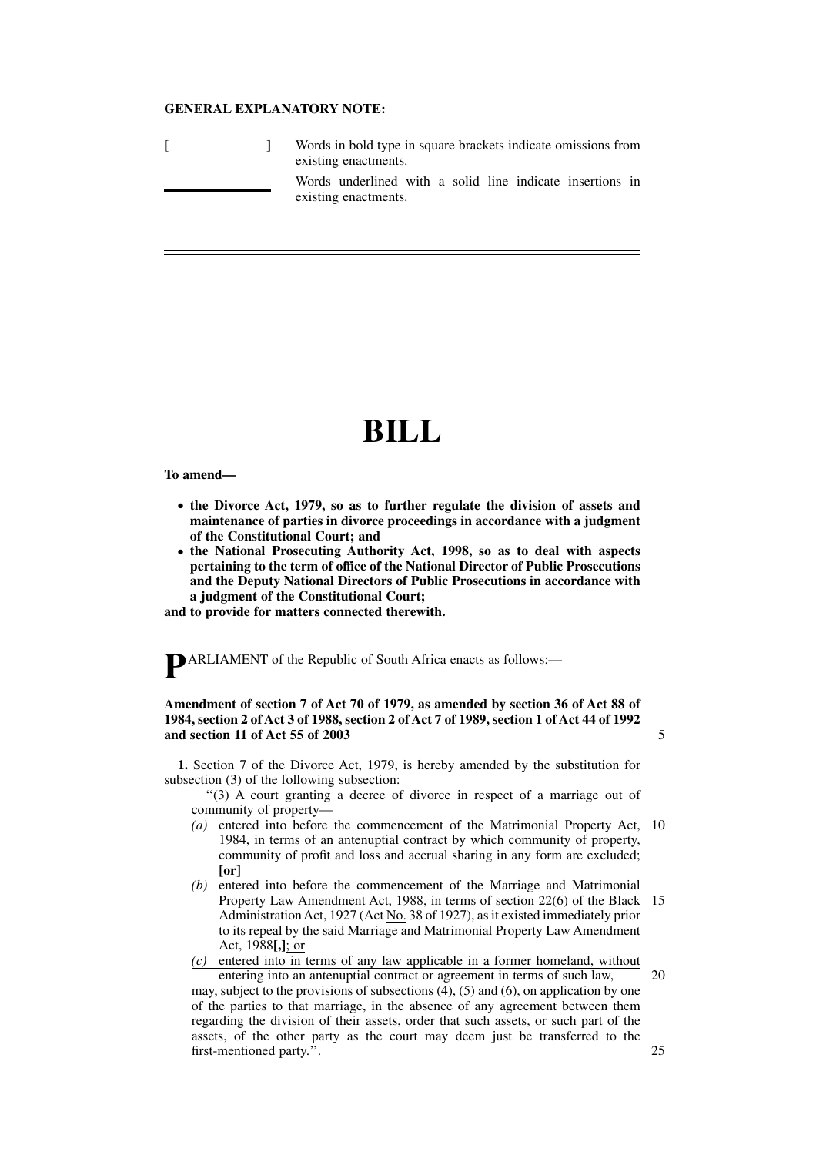#### **GENERAL EXPLANATORY NOTE:**

|  | Words in bold type in square brackets indicate omissions from<br>existing enactments. |
|--|---------------------------------------------------------------------------------------|
|  | Words underlined with a solid line indicate insertions in<br>existing enactments.     |

# **BILL**

**To amend—**

- **the Divorce Act, 1979, so as to further regulate the division of assets and maintenance of parties in divorce proceedings in accordance with a judgment of the Constitutional Court; and**
- **the National Prosecuting Authority Act, 1998, so as to deal with aspects pertaining to the term of office of the National Director of Public Prosecutions and the Deputy National Directors of Public Prosecutions in accordance with a judgment of the Constitutional Court;**

**and to provide for matters connected therewith.**

**P**ARLIAMENT of the Republic of South Africa enacts as follows:—

## **Amendment of section 7 of Act 70 of 1979, as amended by section 36 of Act 88 of 1984, section 2 of Act 3 of 1988, section 2 of Act 7 of 1989, section 1 of Act 44 of 1992 and section 11 of Act 55 of 2003**

**1.** Section 7 of the Divorce Act, 1979, is hereby amended by the substitution for subsection (3) of the following subsection:

''(3) A court granting a decree of divorce in respect of a marriage out of community of property—

- *(a)* entered into before the commencement of the Matrimonial Property Act, 10 1984, in terms of an antenuptial contract by which community of property, community of profit and loss and accrual sharing in any form are excluded; **[or]**
- *(b)* entered into before the commencement of the Marriage and Matrimonial Property Law Amendment Act, 1988, in terms of section 22(6) of the Black 15 Administration Act, 1927 (Act No. 38 of 1927), as it existed immediately prior to its repeal by the said Marriage and Matrimonial Property Law Amendment Act, 1988**[,]**; or
- *(c)* entered into in terms of any law applicable in a former homeland, without entering into an antenuptial contract or agreement in terms of such law,

may, subject to the provisions of subsections (4), (5) and (6), on application by one of the parties to that marriage, in the absence of any agreement between them regarding the division of their assets, order that such assets, or such part of the assets, of the other party as the court may deem just be transferred to the first-mentioned party.''.

5

20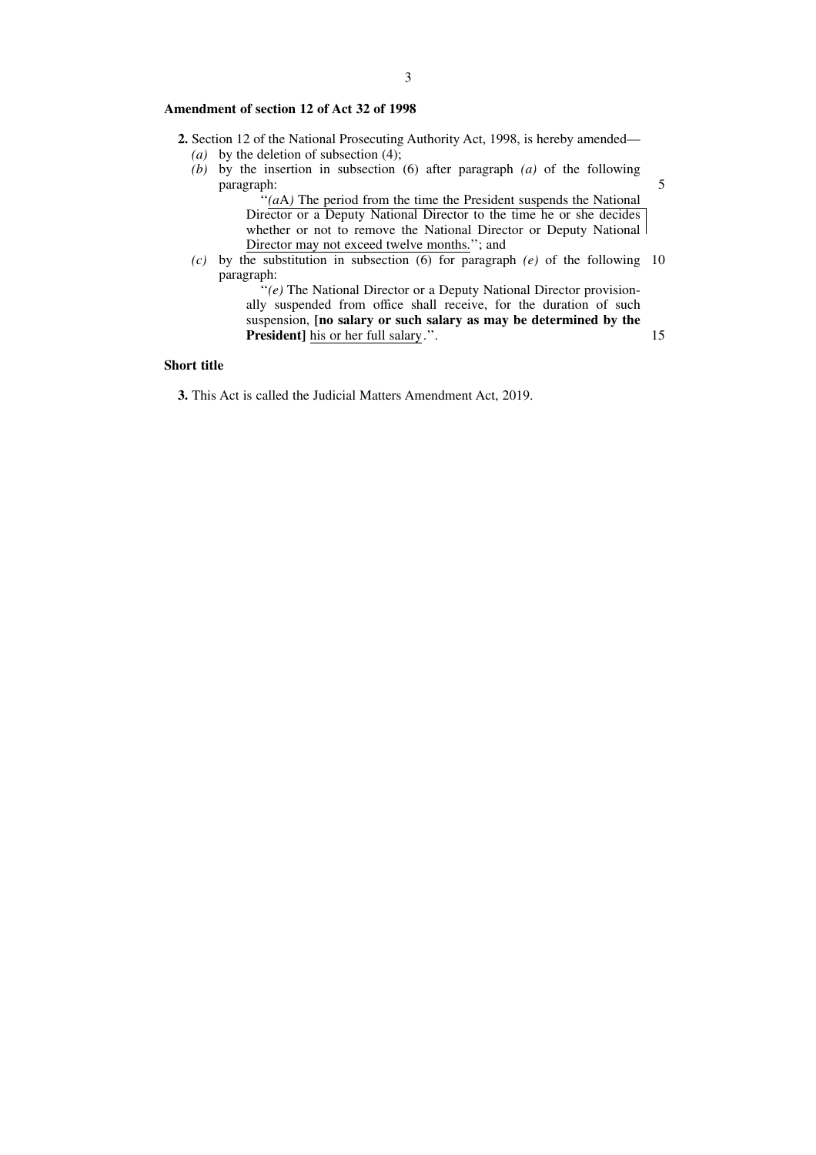## **Amendment of section 12 of Act 32 of 1998**

- **2.** Section 12 of the National Prosecuting Authority Act, 1998, is hereby amended—
	- *(a)* by the deletion of subsection (4);
	- *(b)* by the insertion in subsection (6) after paragraph *(a)* of the following paragraph:

''*(a*A*)* The period from the time the President suspends the National Director or a Deputy National Director to the time he or she decides whether or not to remove the National Director or Deputy National Director may not exceed twelve months.''; and

5

15

*(c)* by the substitution in subsection (6) for paragraph *(e)* of the following 10 paragraph:

''*(e)* The National Director or a Deputy National Director provisionally suspended from office shall receive, for the duration of such suspension, **[no salary or such salary as may be determined by the President]** his or her full salary.''.

# **Short title**

**3.** This Act is called the Judicial Matters Amendment Act, 2019.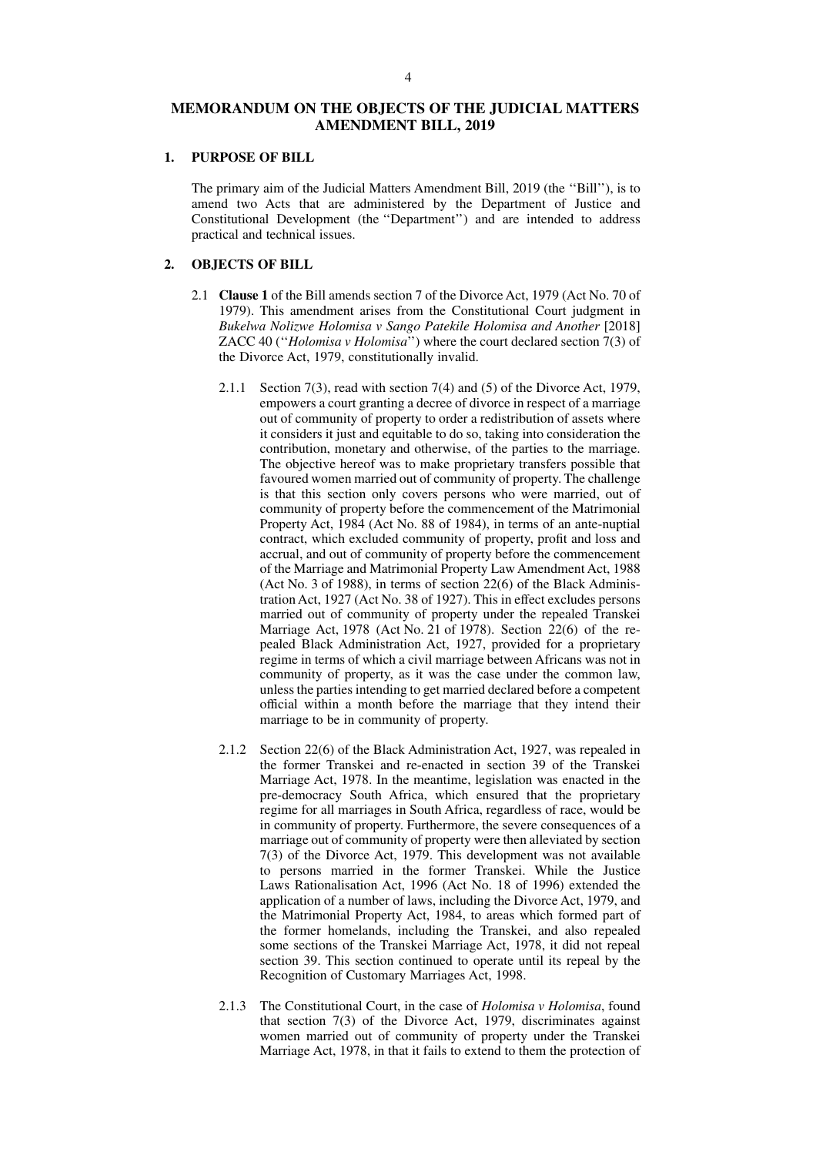#### **1. PURPOSE OF BILL**

The primary aim of the Judicial Matters Amendment Bill, 2019 (the ''Bill''), is to amend two Acts that are administered by the Department of Justice and Constitutional Development (the ''Department'') and are intended to address practical and technical issues.

#### **2. OBJECTS OF BILL**

- 2.1 **Clause 1** of the Bill amends section 7 of the Divorce Act, 1979 (Act No. 70 of 1979). This amendment arises from the Constitutional Court judgment in *Bukelwa Nolizwe Holomisa v Sango Patekile Holomisa and Another* [2018] ZACC 40 (''*Holomisa v Holomisa*'') where the court declared section 7(3) of the Divorce Act, 1979, constitutionally invalid.
	- 2.1.1 Section 7(3), read with section 7(4) and (5) of the Divorce Act, 1979, empowers a court granting a decree of divorce in respect of a marriage out of community of property to order a redistribution of assets where it considers it just and equitable to do so, taking into consideration the contribution, monetary and otherwise, of the parties to the marriage. The objective hereof was to make proprietary transfers possible that favoured women married out of community of property. The challenge is that this section only covers persons who were married, out of community of property before the commencement of the Matrimonial Property Act, 1984 (Act No. 88 of 1984), in terms of an ante-nuptial contract, which excluded community of property, profit and loss and accrual, and out of community of property before the commencement of the Marriage and Matrimonial Property Law Amendment Act, 1988 (Act No. 3 of 1988), in terms of section 22(6) of the Black Administration Act, 1927 (Act No. 38 of 1927). This in effect excludes persons married out of community of property under the repealed Transkei Marriage Act, 1978 (Act No. 21 of 1978). Section 22(6) of the repealed Black Administration Act, 1927, provided for a proprietary regime in terms of which a civil marriage between Africans was not in community of property, as it was the case under the common law, unless the parties intending to get married declared before a competent official within a month before the marriage that they intend their marriage to be in community of property.
	- 2.1.2 Section 22(6) of the Black Administration Act, 1927, was repealed in the former Transkei and re-enacted in section 39 of the Transkei Marriage Act, 1978. In the meantime, legislation was enacted in the pre-democracy South Africa, which ensured that the proprietary regime for all marriages in South Africa, regardless of race, would be in community of property. Furthermore, the severe consequences of a marriage out of community of property were then alleviated by section 7(3) of the Divorce Act, 1979. This development was not available to persons married in the former Transkei. While the Justice Laws Rationalisation Act, 1996 (Act No. 18 of 1996) extended the application of a number of laws, including the Divorce Act, 1979, and the Matrimonial Property Act, 1984, to areas which formed part of the former homelands, including the Transkei, and also repealed some sections of the Transkei Marriage Act, 1978, it did not repeal section 39. This section continued to operate until its repeal by the Recognition of Customary Marriages Act, 1998.
	- 2.1.3 The Constitutional Court, in the case of *Holomisa v Holomisa*, found that section 7(3) of the Divorce Act, 1979, discriminates against women married out of community of property under the Transkei Marriage Act, 1978, in that it fails to extend to them the protection of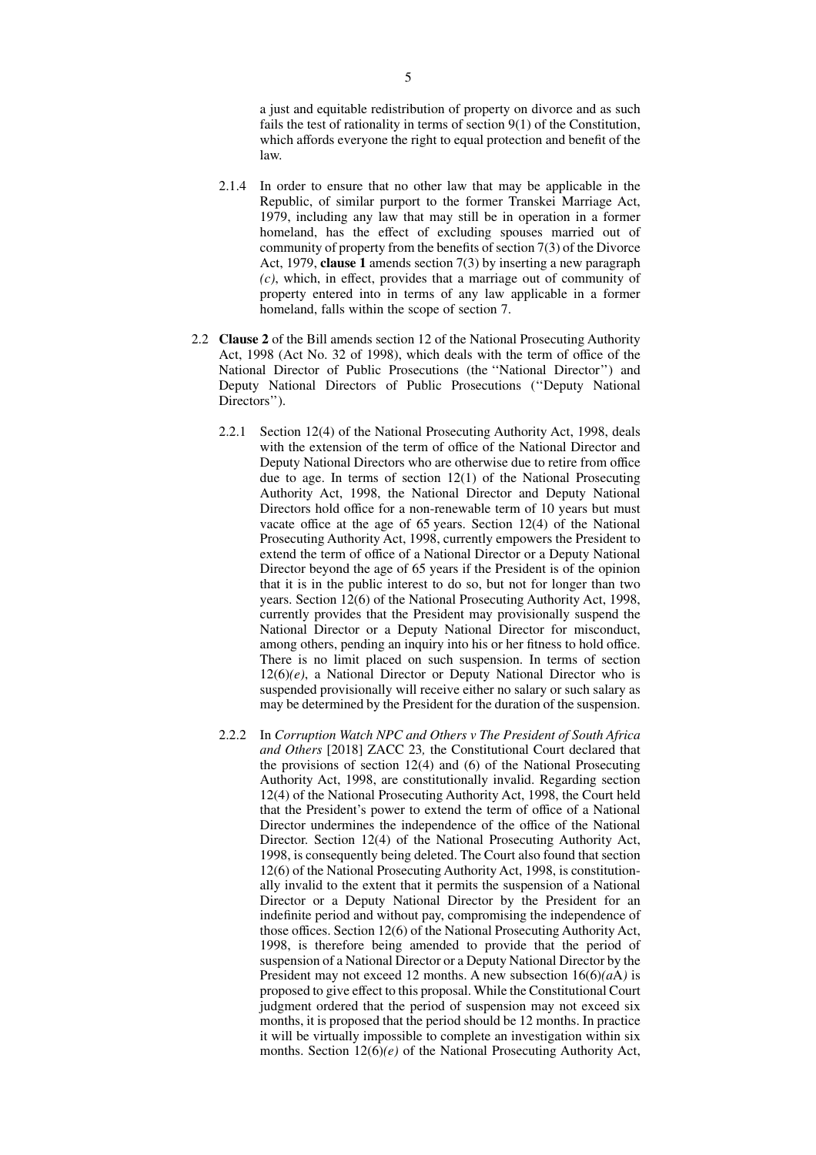a just and equitable redistribution of property on divorce and as such fails the test of rationality in terms of section 9(1) of the Constitution, which affords everyone the right to equal protection and benefit of the law.

- 2.1.4 In order to ensure that no other law that may be applicable in the Republic, of similar purport to the former Transkei Marriage Act, 1979, including any law that may still be in operation in a former homeland, has the effect of excluding spouses married out of community of property from the benefits of section 7(3) of the Divorce Act, 1979, **clause 1** amends section 7(3) by inserting a new paragraph *(c)*, which, in effect, provides that a marriage out of community of property entered into in terms of any law applicable in a former homeland, falls within the scope of section 7.
- 2.2 **Clause 2** of the Bill amends section 12 of the National Prosecuting Authority Act, 1998 (Act No. 32 of 1998), which deals with the term of office of the National Director of Public Prosecutions (the ''National Director'') and Deputy National Directors of Public Prosecutions (''Deputy National Directors'').
	- 2.2.1 Section 12(4) of the National Prosecuting Authority Act, 1998, deals with the extension of the term of office of the National Director and Deputy National Directors who are otherwise due to retire from office due to age. In terms of section 12(1) of the National Prosecuting Authority Act, 1998, the National Director and Deputy National Directors hold office for a non-renewable term of 10 years but must vacate office at the age of 65 years. Section 12(4) of the National Prosecuting Authority Act, 1998, currently empowers the President to extend the term of office of a National Director or a Deputy National Director beyond the age of 65 years if the President is of the opinion that it is in the public interest to do so, but not for longer than two years. Section 12(6) of the National Prosecuting Authority Act, 1998, currently provides that the President may provisionally suspend the National Director or a Deputy National Director for misconduct, among others, pending an inquiry into his or her fitness to hold office. There is no limit placed on such suspension. In terms of section  $12(6)(e)$ , a National Director or Deputy National Director who is suspended provisionally will receive either no salary or such salary as may be determined by the President for the duration of the suspension.
	- 2.2.2 In *Corruption Watch NPC and Others v The President of South Africa and Others* [2018] ZACC 23*,* the Constitutional Court declared that the provisions of section 12(4) and (6) of the National Prosecuting Authority Act, 1998, are constitutionally invalid. Regarding section 12(4) of the National Prosecuting Authority Act, 1998, the Court held that the President's power to extend the term of office of a National Director undermines the independence of the office of the National Director. Section 12(4) of the National Prosecuting Authority Act, 1998, is consequently being deleted. The Court also found that section 12(6) of the National Prosecuting Authority Act, 1998, is constitutionally invalid to the extent that it permits the suspension of a National Director or a Deputy National Director by the President for an indefinite period and without pay, compromising the independence of those offices. Section 12(6) of the National Prosecuting Authority Act, 1998, is therefore being amended to provide that the period of suspension of a National Director or a Deputy National Director by the President may not exceed 12 months. A new subsection 16(6)*(a*A*)* is proposed to give effect to this proposal. While the Constitutional Court judgment ordered that the period of suspension may not exceed six months, it is proposed that the period should be 12 months. In practice it will be virtually impossible to complete an investigation within six months. Section 12(6)*(e)* of the National Prosecuting Authority Act,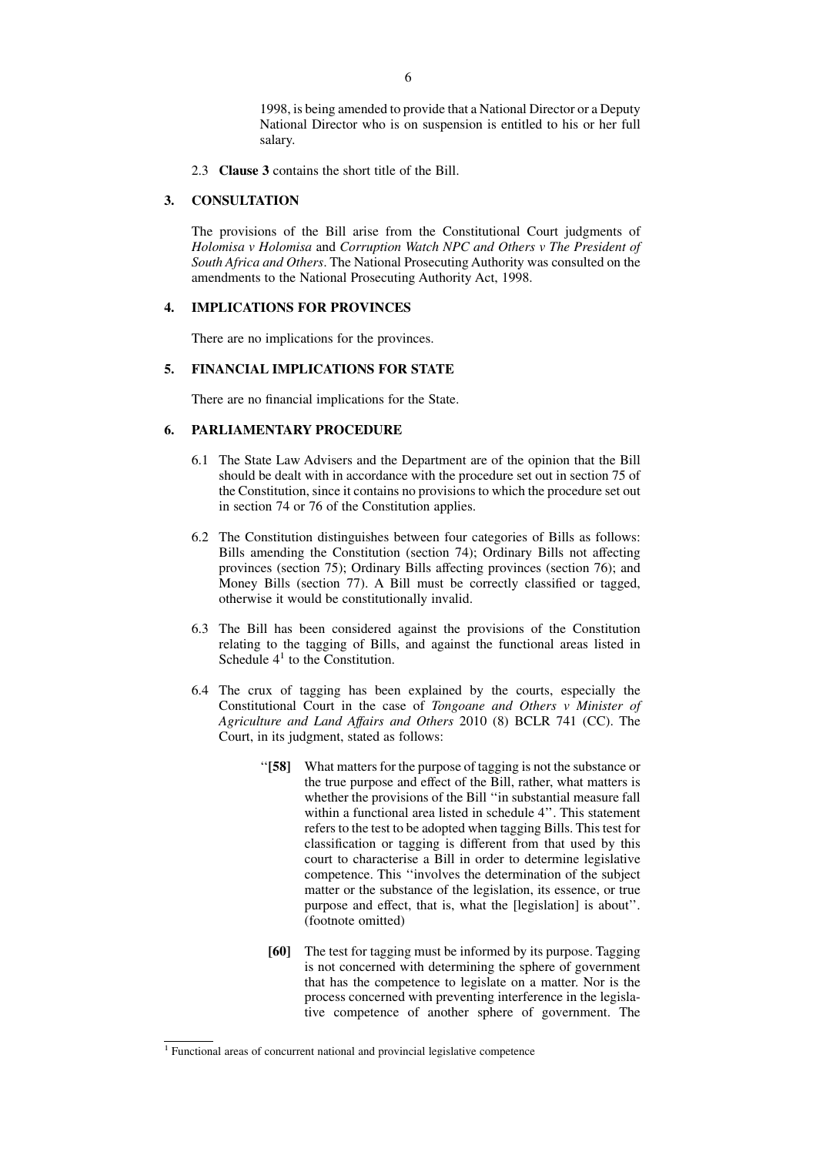1998, is being amended to provide that a National Director or a Deputy National Director who is on suspension is entitled to his or her full salary.

2.3 **Clause 3** contains the short title of the Bill.

# **3. CONSULTATION**

The provisions of the Bill arise from the Constitutional Court judgments of *Holomisa v Holomisa* and *Corruption Watch NPC and Others v The President of South Africa and Others*. The National Prosecuting Authority was consulted on the amendments to the National Prosecuting Authority Act, 1998.

## **4. IMPLICATIONS FOR PROVINCES**

There are no implications for the provinces.

# **5. FINANCIAL IMPLICATIONS FOR STATE**

There are no financial implications for the State.

# **6. PARLIAMENTARY PROCEDURE**

- 6.1 The State Law Advisers and the Department are of the opinion that the Bill should be dealt with in accordance with the procedure set out in section 75 of the Constitution, since it contains no provisions to which the procedure set out in section 74 or 76 of the Constitution applies.
- 6.2 The Constitution distinguishes between four categories of Bills as follows: Bills amending the Constitution (section 74); Ordinary Bills not affecting provinces (section 75); Ordinary Bills affecting provinces (section 76); and Money Bills (section 77). A Bill must be correctly classified or tagged, otherwise it would be constitutionally invalid.
- 6.3 The Bill has been considered against the provisions of the Constitution relating to the tagging of Bills, and against the functional areas listed in Schedule  $4<sup>1</sup>$  to the Constitution.
- 6.4 The crux of tagging has been explained by the courts, especially the Constitutional Court in the case of *Tongoane and Others v Minister of Agriculture and Land Affairs and Others* 2010 (8) BCLR 741 (CC). The Court, in its judgment, stated as follows:
	- ''**[58]** What matters for the purpose of tagging is not the substance or the true purpose and effect of the Bill, rather, what matters is whether the provisions of the Bill ''in substantial measure fall within a functional area listed in schedule 4''. This statement refers to the test to be adopted when tagging Bills. This test for classification or tagging is different from that used by this court to characterise a Bill in order to determine legislative competence. This ''involves the determination of the subject matter or the substance of the legislation, its essence, or true purpose and effect, that is, what the [legislation] is about''. (footnote omitted)
	- **[60]** The test for tagging must be informed by its purpose. Tagging is not concerned with determining the sphere of government that has the competence to legislate on a matter. Nor is the process concerned with preventing interference in the legislative competence of another sphere of government. The

<sup>1</sup> Functional areas of concurrent national and provincial legislative competence